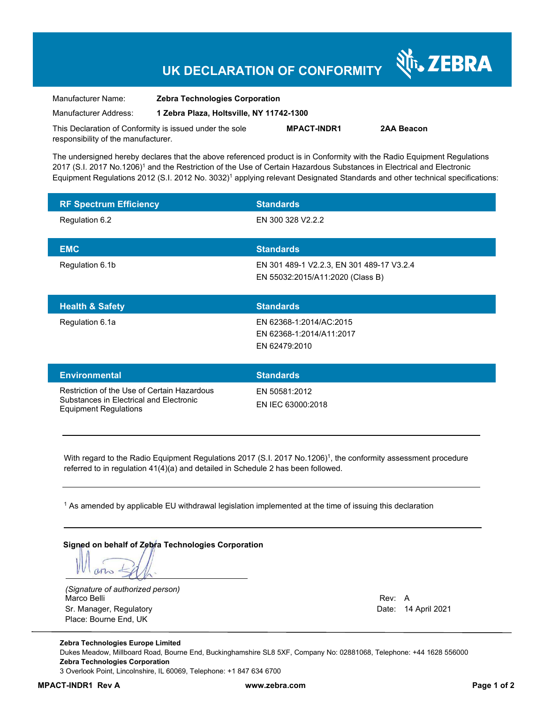## **UK DECLARATION OF CONFORMITY**

| Manufacturer Name:                                      | <b>Zebra Technologies Corporation</b>    |                    |            |
|---------------------------------------------------------|------------------------------------------|--------------------|------------|
| Manufacturer Address:                                   | 1 Zebra Plaza, Holtsville, NY 11742-1300 |                    |            |
| This Declaration of Conformity is issued under the sole |                                          | <b>MPACT-INDR1</b> | 2AA Beacon |

The undersigned hereby declares that the above referenced product is in Conformity with the Radio Equipment Regulations 2017 (S.I. 2017 No.1206)<sup>1</sup> and the Restriction of the Use of Certain Hazardous Substances in Electrical and Electronic Equipment Regulations 2012 (S.I. 2012 No. 3032)<sup>1</sup> applying relevant Designated Standards and other technical specifications:

| <b>RF Spectrum Efficiency</b> | <b>Standards</b>                                                              |
|-------------------------------|-------------------------------------------------------------------------------|
| Regulation 6.2                | EN 300 328 V2.2.2                                                             |
| <b>EMC</b>                    | <b>Standards</b>                                                              |
| Regulation 6.1b               | EN 301 489-1 V2.2.3, EN 301 489-17 V3.2.4<br>EN 55032:2015/A11:2020 (Class B) |
| <b>Health &amp; Safety</b>    | <b>Standards</b>                                                              |
| Regulation 6.1a               | EN 62368-1:2014/AC:2015<br>EN 62368-1:2014/A11:2017<br>EN 62479:2010          |

| <b>Environmental</b>                                                                                                   | <b>Standards</b>                   |
|------------------------------------------------------------------------------------------------------------------------|------------------------------------|
| Restriction of the Use of Certain Hazardous<br>Substances in Electrical and Electronic<br><b>Equipment Requlations</b> | FN 50581:2012<br>EN IEC 63000:2018 |

With regard to the Radio Equipment Regulations 2017 (S.I. 2017 No.1206)<sup>1</sup>, the conformity assessment procedure referred to in regulation 41(4)(a) and detailed in Schedule 2 has been followed.

1 As amended by applicable EU withdrawal legislation implemented at the time of issuing this declaration

#### **Signed on behalf of Zebra Technologies Corporation**

ars

responsibility of the manufacturer.

*(Signature of authorized person)* Marco Belli Rev: A Alexander Communication of the Communication of the Communication of the Communication of the Communication of the Communication of the Communication of the Communication of the Communication of the Comm Sr. Manager, Regulatory **Date: 14 April 2021** Place: Bourne End, UK

र्शे<sub>ं</sub> ZEBRA

**Zebra Technologies Europe Limited**  Dukes Meadow, Millboard Road, Bourne End, Buckinghamshire SL8 5XF, Company No: 02881068, Telephone: +44 1628 556000 **Zebra Technologies Corporation**  3 Overlook Point, Lincolnshire, IL 60069, Telephone: +1 847 634 6700